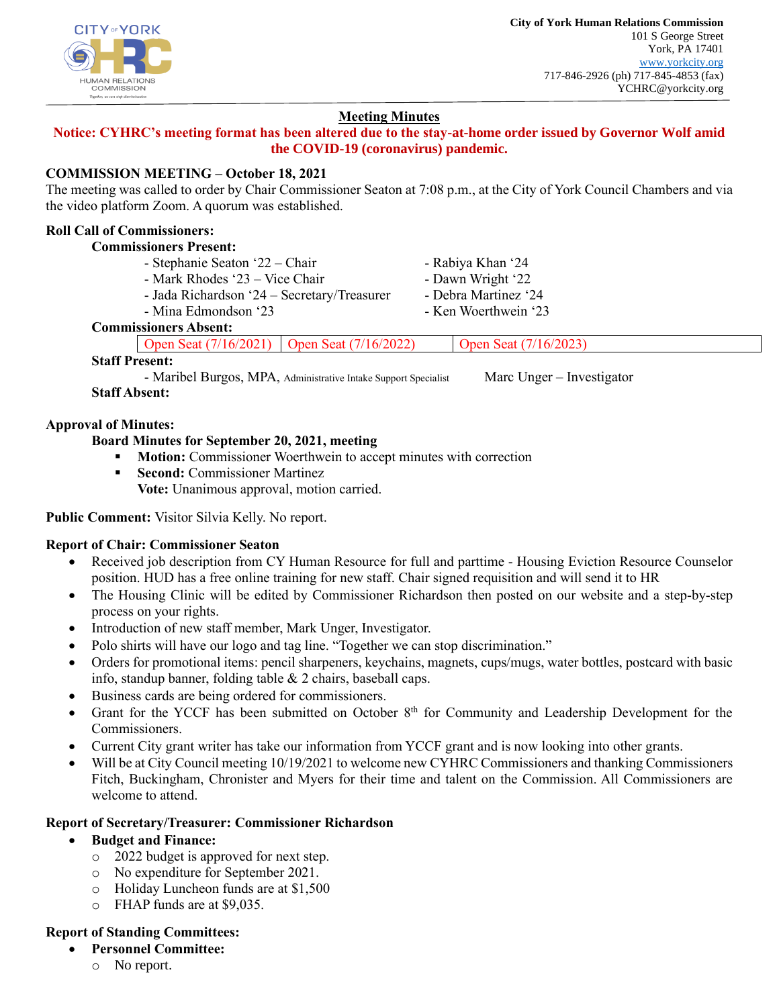

# **Meeting Minutes**

# **Notice: CYHRC's meeting format has been altered due to the stay-at-home order issued by Governor Wolf amid the COVID-19 (coronavirus) pandemic.**

# **COMMISSION MEETING – October 18, 2021**

The meeting was called to order by Chair Commissioner Seaton at 7:08 p.m., at the City of York Council Chambers and via the video platform Zoom. A quorum was established.

# **Roll Call of Commissioners:**

#### **Commissioners Present:**

- Stephanie Seaton '22 – Chair

- Mina Edmondson '23

- Mark Rhodes '23 Vice Chair
- Jada Richardson '24 Secretary/Treasurer
- Rabiya Khan '24 - Dawn Wright '22
- Debra Martinez '24
- Ken Woerthwein '23

# **Commissioners Absent:**

Open Seat (7/16/2021) Open Seat (7/16/2022) Open Seat (7/16/2023)

### **Staff Present:**

- Maribel Burgos, MPA, Administrative Intake Support Specialist Marc Unger – Investigator **Staff Absent:**

### **Approval of Minutes:**

## **Board Minutes for September 20, 2021, meeting**

- **Motion:** Commissioner Woerthwein to accept minutes with correction
- **Second:** Commissioner Martinez **Vote:** Unanimous approval, motion carried.

### **Public Comment:** Visitor Silvia Kelly. No report.

## **Report of Chair: Commissioner Seaton**

- Received job description from CY Human Resource for full and parttime Housing Eviction Resource Counselor position. HUD has a free online training for new staff. Chair signed requisition and will send it to HR
- The Housing Clinic will be edited by Commissioner Richardson then posted on our website and a step-by-step process on your rights.
- Introduction of new staff member, Mark Unger, Investigator.
- Polo shirts will have our logo and tag line. "Together we can stop discrimination."
- Orders for promotional items: pencil sharpeners, keychains, magnets, cups/mugs, water bottles, postcard with basic info, standup banner, folding table & 2 chairs, baseball caps.
- Business cards are being ordered for commissioners.
- Grant for the YCCF has been submitted on October 8<sup>th</sup> for Community and Leadership Development for the Commissioners.
- Current City grant writer has take our information from YCCF grant and is now looking into other grants.
- Will be at City Council meeting 10/19/2021 to welcome new CYHRC Commissioners and thanking Commissioners Fitch, Buckingham, Chronister and Myers for their time and talent on the Commission. All Commissioners are welcome to attend.

## **Report of Secretary/Treasurer: Commissioner Richardson**

- **Budget and Finance:**
	- o 2022 budget is approved for next step.
	- o No expenditure for September 2021.
	- o Holiday Luncheon funds are at \$1,500
	- o FHAP funds are at \$9,035.

## **Report of Standing Committees:**

- **Personnel Committee:**
	- o No report.

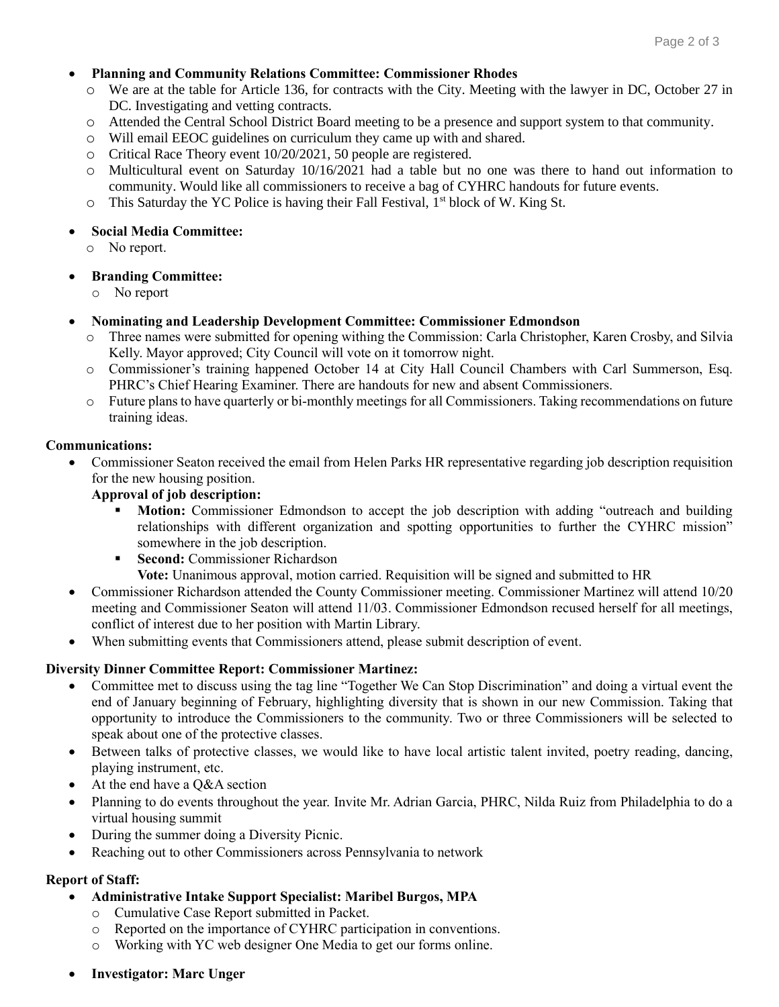#### • **Planning and Community Relations Committee: Commissioner Rhodes**

- o We are at the table for Article 136, for contracts with the City. Meeting with the lawyer in DC, October 27 in DC. Investigating and vetting contracts.
- o Attended the Central School District Board meeting to be a presence and support system to that community.
- o Will email EEOC guidelines on curriculum they came up with and shared.
- o Critical Race Theory event 10/20/2021, 50 people are registered.
- o Multicultural event on Saturday 10/16/2021 had a table but no one was there to hand out information to community. Would like all commissioners to receive a bag of CYHRC handouts for future events.
- o This Saturday the YC Police is having their Fall Festival, 1st block of W. King St.

#### • **Social Media Committee:**

o No report.

### • **Branding Committee:**

o No report

#### • **Nominating and Leadership Development Committee: Commissioner Edmondson**

- o Three names were submitted for opening withing the Commission: Carla Christopher, Karen Crosby, and Silvia Kelly. Mayor approved; City Council will vote on it tomorrow night.
- o Commissioner's training happened October 14 at City Hall Council Chambers with Carl Summerson, Esq. PHRC's Chief Hearing Examiner. There are handouts for new and absent Commissioners.
- o Future plans to have quarterly or bi-monthly meetings for all Commissioners. Taking recommendations on future training ideas.

#### **Communications:**

• Commissioner Seaton received the email from Helen Parks HR representative regarding job description requisition for the new housing position.

#### **Approval of job description:**

- Motion: Commissioner Edmondson to accept the job description with adding "outreach and building relationships with different organization and spotting opportunities to further the CYHRC mission" somewhere in the job description.
- **Execond:** Commissioner Richardson

**Vote:** Unanimous approval, motion carried. Requisition will be signed and submitted to HR

- Commissioner Richardson attended the County Commissioner meeting. Commissioner Martinez will attend 10/20 meeting and Commissioner Seaton will attend 11/03. Commissioner Edmondson recused herself for all meetings, conflict of interest due to her position with Martin Library.
- When submitting events that Commissioners attend, please submit description of event.

### **Diversity Dinner Committee Report: Commissioner Martinez:**

- Committee met to discuss using the tag line "Together We Can Stop Discrimination" and doing a virtual event the end of January beginning of February, highlighting diversity that is shown in our new Commission. Taking that opportunity to introduce the Commissioners to the community. Two or three Commissioners will be selected to speak about one of the protective classes.
- Between talks of protective classes, we would like to have local artistic talent invited, poetry reading, dancing, playing instrument, etc.
- At the end have a O&A section
- Planning to do events throughout the year. Invite Mr. Adrian Garcia, PHRC, Nilda Ruiz from Philadelphia to do a virtual housing summit
- During the summer doing a Diversity Picnic.
- Reaching out to other Commissioners across Pennsylvania to network

### **Report of Staff:**

- **Administrative Intake Support Specialist: Maribel Burgos, MPA**
	- o Cumulative Case Report submitted in Packet.
	- o Reported on the importance of CYHRC participation in conventions.
	- o Working with YC web designer One Media to get our forms online.
- **Investigator: Marc Unger**